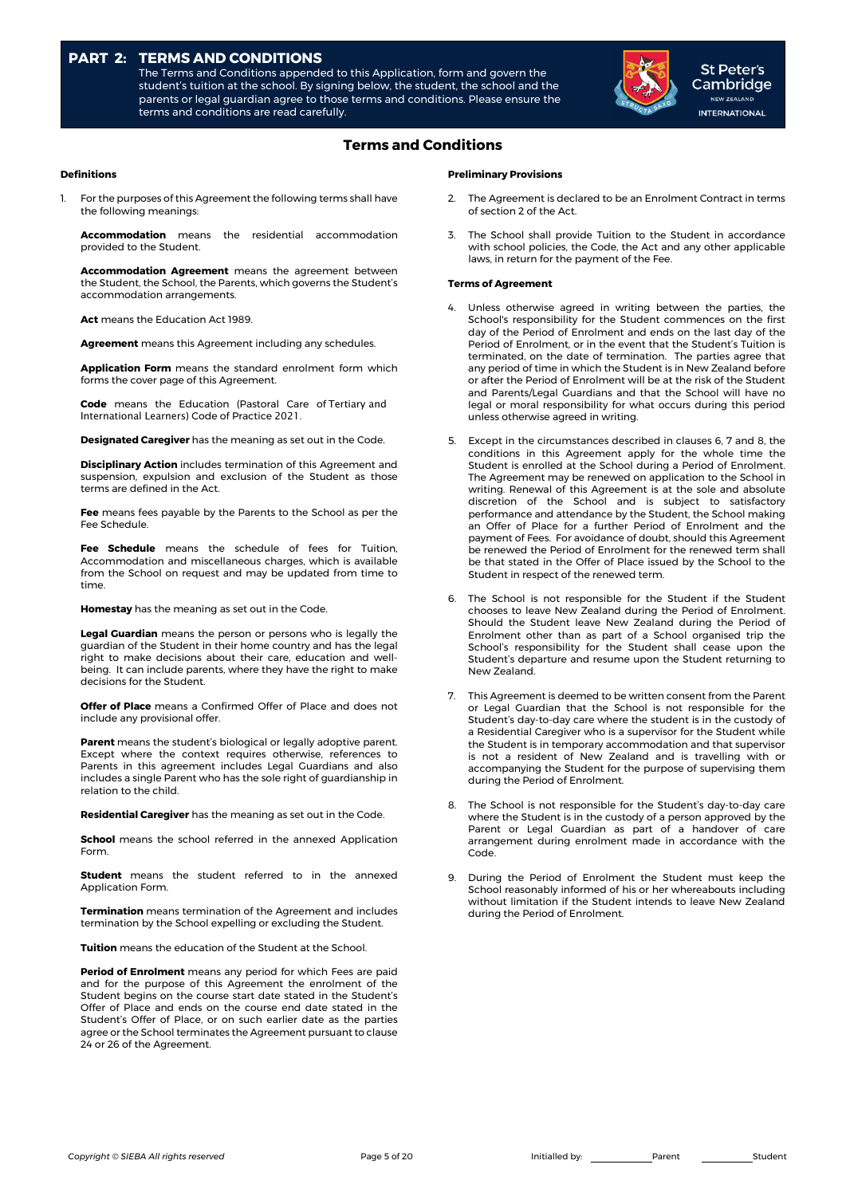# **PART 2: TERMS AND CONDITIONS**

The Terms and Conditions appended to this Application, form and govern the student's tuition at the school. By signing below, the student, the school and the parents or legal guardian agree to those terms and conditions. Please ensure the terms and conditions are read carefully.



St Peter's Cambridge NEW ZEALAND **INTERNATIONAL** 

# **Terms and Conditions**

## **Definitions**

For the purposes of this Agreement the following terms shall have the following meanings:

**Accommodation** means the residential accommodation provided to the Student.

**Accommodation Agreement** means the agreement between the Student, the School, the Parents, which governs the Student's accommodation arrangements.

**Act** means the Education Act 1989.

**Agreement** means this Agreement including any schedules.

**Application Form** means the standard enrolment form which forms the cover page of this Agreement.

**Code** means the Education (Pastoral Care of Tertiary and International Learners) Code of Practice 2021.

**Designated Caregiver** has the meaning as set out in the Code.

**Disciplinary Action** includes termination of this Agreement and suspension, expulsion and exclusion of the Student as those terms are defined in the Act.

**Fee** means fees payable by the Parents to the School as per the Fee Schedule.

**Fee Schedule** means the schedule of fees for Tuition, Accommodation and miscellaneous charges, which is available from the School on request and may be updated from time to time.

**Homestay** has the meaning as set out in the Code.

**Legal Guardian** means the person or persons who is legally the guardian of the Student in their home country and has the legal right to make decisions about their care, education and wellbeing. It can include parents, where they have the right to make decisions for the Student.

**Offer of Place** means a Confirmed Offer of Place and does not include any provisional offer.

**Parent** means the student's biological or legally adoptive parent. Except where the context requires otherwise, references to Parents in this agreement includes Legal Guardians and also includes a single Parent who has the sole right of guardianship in relation to the child.

**Residential Caregiver** has the meaning as set out in the Code.

**School** means the school referred in the annexed Application Form.

**Student** means the student referred to in the annexed Application Form.

**Termination** means termination of the Agreement and includes termination by the School expelling or excluding the Student.

**Tuition** means the education of the Student at the School.

**Period of Enrolment** means any period for which Fees are paid and for the purpose of this Agreement the enrolment of the Student begins on the course start date stated in the Student's Offer of Place and ends on the course end date stated in the Student's Offer of Place, or on such earlier date as the parties agree or the School terminates the Agreement pursuant to clause 24 or 26 of the Agreement.

### **Preliminary Provisions**

- The Agreement is declared to be an Enrolment Contract in terms of section 2 of the Act.
- The School shall provide Tuition to the Student in accordance with school policies, the Code, the Act and any other applicable laws, in return for the payment of the Fee.

## **Terms of Agreement**

- Unless otherwise agreed in writing between the parties, the School's responsibility for the Student commences on the first day of the Period of Enrolment and ends on the last day of the Period of Enrolment, or in the event that the Student's Tuition is terminated, on the date of termination. The parties agree that any period of time in which the Student is in New Zealand before or after the Period of Enrolment will be at the risk of the Student and Parents/Legal Guardians and that the School will have no legal or moral responsibility for what occurs during this period unless otherwise agreed in writing.
- 5. Except in the circumstances described in clauses 6, 7 and 8, the conditions in this Agreement apply for the whole time the Student is enrolled at the School during a Period of Enrolment. The Agreement may be renewed on application to the School in writing. Renewal of this Agreement is at the sole and absolute discretion of the School and is subject to satisfactory performance and attendance by the Student, the School making an Offer of Place for a further Period of Enrolment and the payment of Fees. For avoidance of doubt, should this Agreement be renewed the Period of Enrolment for the renewed term shall be that stated in the Offer of Place issued by the School to the Student in respect of the renewed term.
- 6. The School is not responsible for the Student if the Student chooses to leave New Zealand during the Period of Enrolment. Should the Student leave New Zealand during the Period of Enrolment other than as part of a School organised trip the School's responsibility for the Student shall cease upon the Student's departure and resume upon the Student returning to New Zealand.
- 7. This Agreement is deemed to be written consent from the Parent or Legal Guardian that the School is not responsible for the Student's day-to-day care where the student is in the custody of a Residential Caregiver who is a supervisor for the Student while the Student is in temporary accommodation and that supervisor is not a resident of New Zealand and is travelling with or accompanying the Student for the purpose of supervising them during the Period of Enrolment.
- The School is not responsible for the Student's day-to-day care where the Student is in the custody of a person approved by the Parent or Legal Guardian as part of a handover of care arrangement during enrolment made in accordance with the Code.
- 9. During the Period of Enrolment the Student must keep the School reasonably informed of his or her whereabouts including without limitation if the Student intends to leave New Zealand during the Period of Enrolment.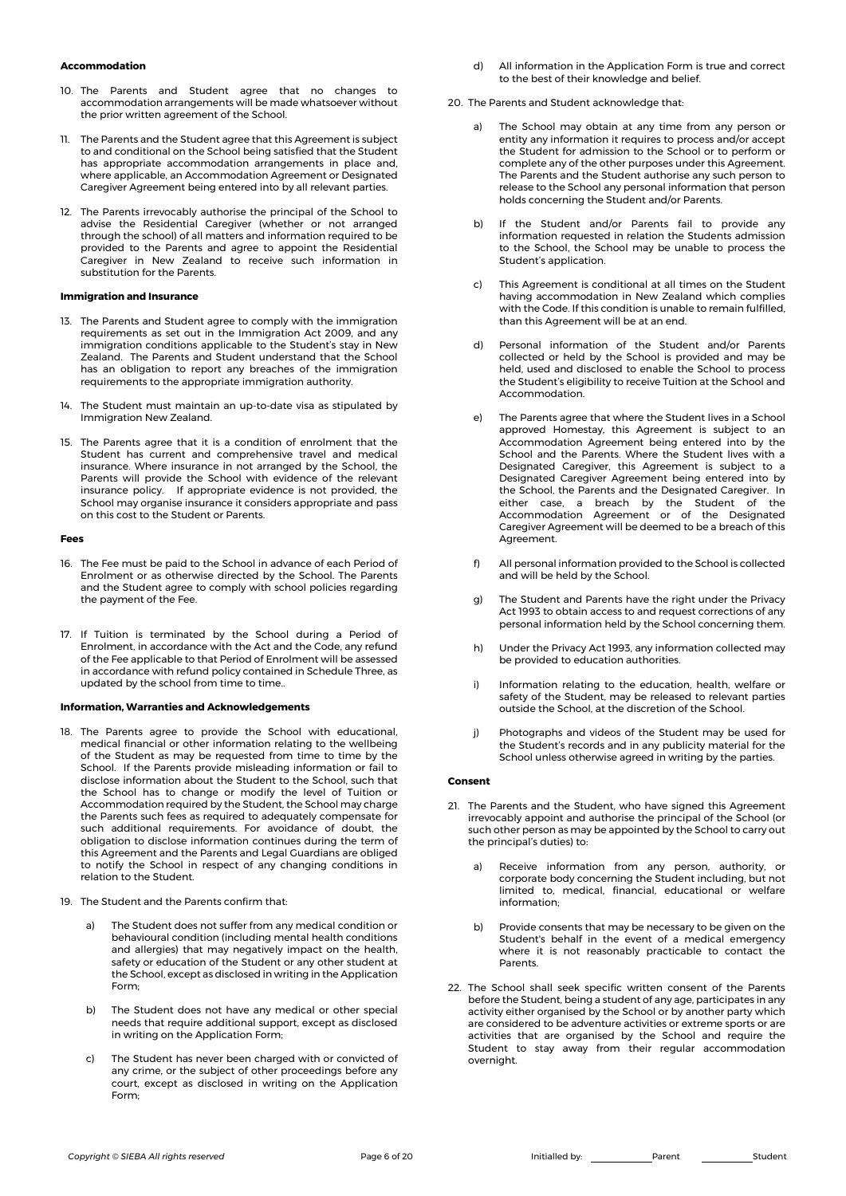#### **Accommodation**

- 10. The Parents and Student agree that no changes to accommodation arrangements will be made whatsoever without the prior written agreement of the School.
- 11. The Parents and the Student agree that this Agreement is subject to and conditional on the School being satisfied that the Student has appropriate accommodation arrangements in place and, where applicable, an Accommodation Agreement or Designated Caregiver Agreement being entered into by all relevant parties.
- 12. The Parents irrevocably authorise the principal of the School to advise the Residential Caregiver (whether or not arranged through the school) of all matters and information required to be provided to the Parents and agree to appoint the Residential Caregiver in New Zealand to receive such information in substitution for the Parents.

#### **Immigration and Insurance**

- 13. The Parents and Student agree to comply with the immigration requirements as set out in the Immigration Act 2009, and any immigration conditions applicable to the Student's stay in New Zealand. The Parents and Student understand that the School has an obligation to report any breaches of the immigration requirements to the appropriate immigration authority.
- 14. The Student must maintain an up-to-date visa as stipulated by Immigration New Zealand.
- 15. The Parents agree that it is a condition of enrolment that the Student has current and comprehensive travel and medical insurance. Where insurance in not arranged by the School, the Parents will provide the School with evidence of the relevant insurance policy. If appropriate evidence is not provided, the School may organise insurance it considers appropriate and pass on this cost to the Student or Parents.

#### **Fees**

- 16. The Fee must be paid to the School in advance of each Period of Enrolment or as otherwise directed by the School. The Parents and the Student agree to comply with school policies regarding the payment of the Fee.
- 17. If Tuition is terminated by the School during a Period of Enrolment, in accordance with the Act and the Code, any refund of the Fee applicable to that Period of Enrolment will be assessed in accordance with refund policy contained in Schedule Three, as updated by the school from time to time..

#### **Information, Warranties and Acknowledgements**

- 18. The Parents agree to provide the School with educational, medical financial or other information relating to the wellbeing of the Student as may be requested from time to time by the School. If the Parents provide misleading information or fail to disclose information about the Student to the School, such that the School has to change or modify the level of Tuition or Accommodation required by the Student, the School may charge the Parents such fees as required to adequately compensate for such additional requirements. For avoidance of doubt, the obligation to disclose information continues during the term of this Agreement and the Parents and Legal Guardians are obliged to notify the School in respect of any changing conditions in relation to the Student.
- 19. The Student and the Parents confirm that:
	- a) The Student does not suffer from any medical condition or behavioural condition (including mental health conditions and allergies) that may negatively impact on the health, safety or education of the Student or any other student at the School, except as disclosed in writing in the Application Form;
	- b) The Student does not have any medical or other special needs that require additional support, except as disclosed in writing on the Application Form;
	- c) The Student has never been charged with or convicted of any crime, or the subject of other proceedings before any court, except as disclosed in writing on the Application Form;
- d) All information in the Application Form is true and correct to the best of their knowledge and belief.
- 20. The Parents and Student acknowledge that:
	- a) The School may obtain at any time from any person or entity any information it requires to process and/or accept the Student for admission to the School or to perform or complete any of the other purposes under this Agreement. The Parents and the Student authorise any such person to release to the School any personal information that person holds concerning the Student and/or Parents.
	- b) If the Student and/or Parents fail to provide any information requested in relation the Students admission to the School, the School may be unable to process the Student's application.
	- c) This Agreement is conditional at all times on the Student having accommodation in New Zealand which complies with the Code. If this condition is unable to remain fulfilled, than this Agreement will be at an end.
	- d) Personal information of the Student and/or Parents collected or held by the School is provided and may be held, used and disclosed to enable the School to process the Student's eligibility to receive Tuition at the School and Accommodation.
	- The Parents agree that where the Student lives in a School approved Homestay, this Agreement is subject to an Accommodation Agreement being entered into by the School and the Parents. Where the Student lives with a Designated Caregiver, this Agreement is subject to a Designated Caregiver Agreement being entered into by the School, the Parents and the Designated Caregiver. In either case, a breach by the Student of the Accommodation Agreement or of the Designated Caregiver Agreement will be deemed to be a breach of this Agreement.
	- f) All personal information provided to the School is collected and will be held by the School.
	- g) The Student and Parents have the right under the Privacy Act 1993 to obtain access to and request corrections of any personal information held by the School concerning them.
	- h) Under the Privacy Act 1993, any information collected may be provided to education authorities.
	- i) Information relating to the education, health, welfare or safety of the Student, may be released to relevant parties outside the School, at the discretion of the School.
	- j) Photographs and videos of the Student may be used for the Student's records and in any publicity material for the School unless otherwise agreed in writing by the parties.

#### **Consent**

- 21. The Parents and the Student, who have signed this Agreement irrevocably appoint and authorise the principal of the School (or such other person as may be appointed by the School to carry out the principal's duties) to:
	- a) Receive information from any person, authority, or corporate body concerning the Student including, but not limited to, medical, financial, educational or welfare information;
	- b) Provide consents that may be necessary to be given on the Student's behalf in the event of a medical emergency where it is not reasonably practicable to contact the Parents.
- 22. The School shall seek specific written consent of the Parents before the Student, being a student of any age, participates in any activity either organised by the School or by another party which are considered to be adventure activities or extreme sports or are activities that are organised by the School and require the Student to stay away from their regular accommodation overnight.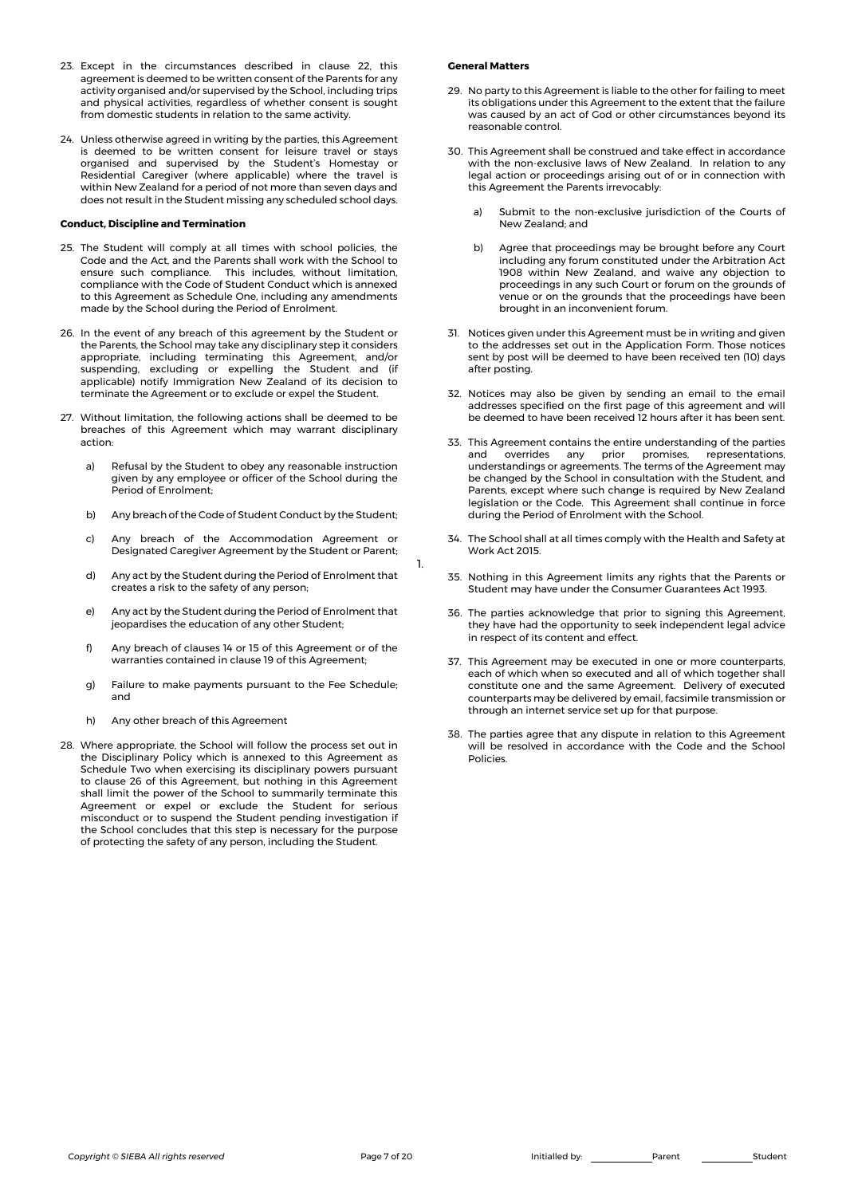- 23. Except in the circumstances described in clause 22, this agreement is deemed to be written consent of the Parents for any activity organised and/or supervised by the School, including trips and physical activities, regardless of whether consent is sought from domestic students in relation to the same activity.
- 24. Unless otherwise agreed in writing by the parties, this Agreement is deemed to be written consent for leisure travel or stays organised and supervised by the Student's Homestay or Residential Caregiver (where applicable) where the travel is within New Zealand for a period of not more than seven days and does not result in the Student missing any scheduled school days.

## **Conduct, Discipline and Termination**

- 25. The Student will comply at all times with school policies, the Code and the Act, and the Parents shall work with the School to esure and the rice, and the raients shall went with the sensor to<br>ensure such compliance. This includes, without limitation, compliance with the Code of Student Conduct which is annexed to this Agreement as Schedule One, including any amendments made by the School during the Period of Enrolment.
- 26. In the event of any breach of this agreement by the Student or the Parents, the School may take any disciplinary step it considers appropriate, including terminating this Agreement, and/or suspending, excluding or expelling the Student and (if applicable) notify Immigration New Zealand of its decision to terminate the Agreement or to exclude or expel the Student.
- 27. Without limitation, the following actions shall be deemed to be breaches of this Agreement which may warrant disciplinary action:
	- a) Refusal by the Student to obey any reasonable instruction given by any employee or officer of the School during the Period of Enrolment;
	- b) Any breach of the Code of Student Conduct by the Student;
	- c) Any breach of the Accommodation Agreement or Designated Caregiver Agreement by the Student or Parent;
	- d) Any act by the Student during the Period of Enrolment that creates a risk to the safety of any person;
	- e) Any act by the Student during the Period of Enrolment that jeopardises the education of any other Student;
	- f) Any breach of clauses 14 or 15 of this Agreement or of the warranties contained in clause 19 of this Agreement;
	- g) Failure to make payments pursuant to the Fee Schedule; and
	- h) Any other breach of this Agreement
- 28. Where appropriate, the School will follow the process set out in the Disciplinary Policy which is annexed to this Agreement as Schedule Two when exercising its disciplinary powers pursuant to clause 26 of this Agreement, but nothing in this Agreement shall limit the power of the School to summarily terminate this Agreement or expel or exclude the Student for serious misconduct or to suspend the Student pending investigation if the School concludes that this step is necessary for the purpose of protecting the safety of any person, including the Student.

#### **General Matters**

- 29. No party to this Agreement is liable to the other for failing to meet its obligations under this Agreement to the extent that the failure was caused by an act of God or other circumstances beyond its reasonable control.
- 30. This Agreement shall be construed and take effect in accordance with the non-exclusive laws of New Zealand. In relation to any legal action or proceedings arising out of or in connection with this Agreement the Parents irrevocably:
	- a) Submit to the non-exclusive jurisdiction of the Courts of New Zealand; and
	- b) Agree that proceedings may be brought before any Court including any forum constituted under the Arbitration Act 1908 within New Zealand, and waive any objection to proceedings in any such Court or forum on the grounds of venue or on the grounds that the proceedings have been brought in an inconvenient forum.
- 31. Notices given under this Agreement must be in writing and given to the addresses set out in the Application Form. Those notices sent by post will be deemed to have been received ten (10) days after posting.
- 32. Notices may also be given by sending an email to the email addresses specified on the first page of this agreement and will be deemed to have been received 12 hours after it has been sent.
- 33. This Agreement contains the entire understanding of the parties and overrides any prior promises, representations, understandings or agreements. The terms of the Agreement may be changed by the School in consultation with the Student, and Parents, except where such change is required by New Zealand legislation or the Code. This Agreement shall continue in force during the Period of Enrolment with the School.
- 34. The School shall at all times comply with the Health and Safety at Work Act 2015.
- 35. Nothing in this Agreement limits any rights that the Parents or Student may have under the Consumer Guarantees Act 1993.
- 36. The parties acknowledge that prior to signing this Agreement, they have had the opportunity to seek independent legal advice in respect of its content and effect.
- 37. This Agreement may be executed in one or more counterparts, each of which when so executed and all of which together shall constitute one and the same Agreement. Delivery of executed counterparts may be delivered by email, facsimile transmission or through an internet service set up for that purpose.
- 38. The parties agree that any dispute in relation to this Agreement will be resolved in accordance with the Code and the School Policies.

1.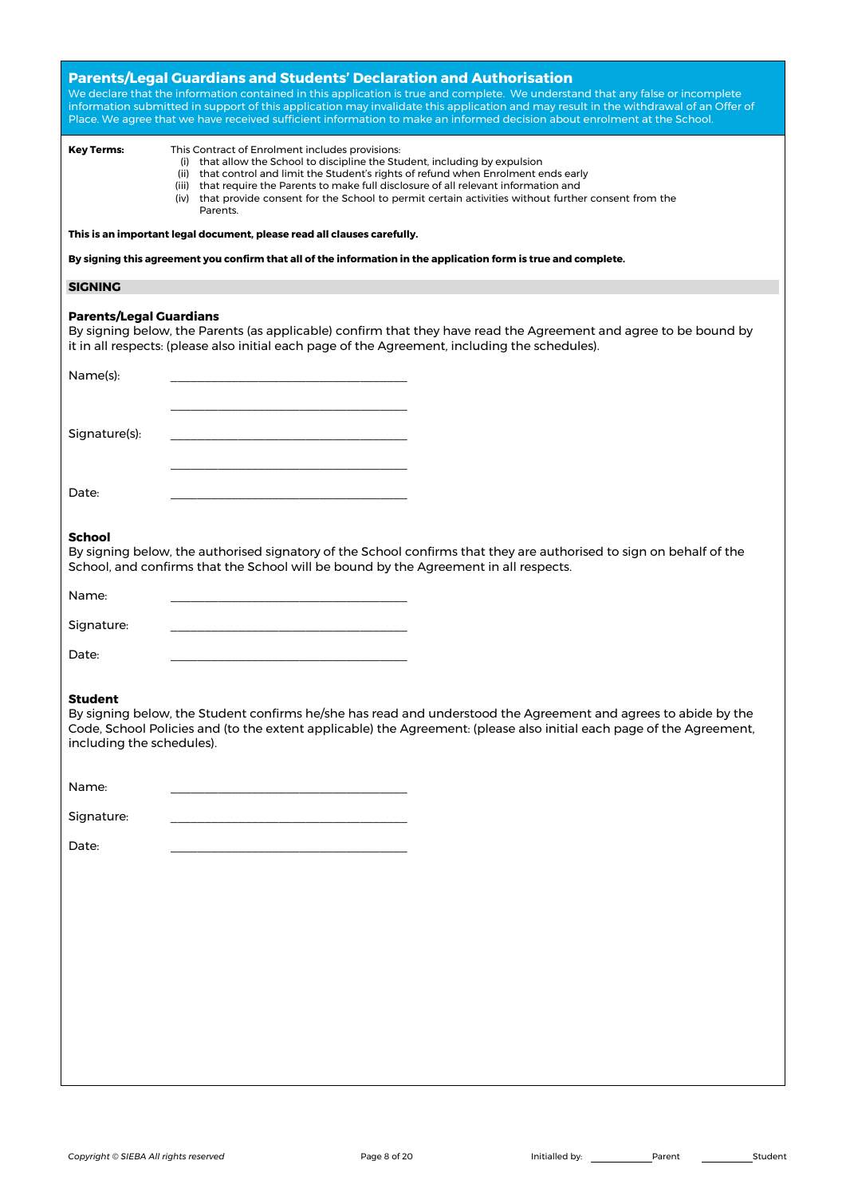| <b>Parents/Legal Guardians and Students' Declaration and Authorisation</b><br>We declare that the information contained in this application is true and complete. We understand that any false or incomplete<br>information submitted in support of this application may invalidate this application and may result in the withdrawal of an Offer of<br>Place. We agree that we have received sufficient information to make an informed decision about enrolment at the School. |                                                                                                                                                                                                                                                                                                                                                                                                                                        |
|----------------------------------------------------------------------------------------------------------------------------------------------------------------------------------------------------------------------------------------------------------------------------------------------------------------------------------------------------------------------------------------------------------------------------------------------------------------------------------|----------------------------------------------------------------------------------------------------------------------------------------------------------------------------------------------------------------------------------------------------------------------------------------------------------------------------------------------------------------------------------------------------------------------------------------|
| <b>Key Terms:</b>                                                                                                                                                                                                                                                                                                                                                                                                                                                                | This Contract of Enrolment includes provisions:<br>(i) that allow the School to discipline the Student, including by expulsion<br>(ii) that control and limit the Student's rights of refund when Enrolment ends early<br>(iii) that require the Parents to make full disclosure of all relevant information and<br>(iv) that provide consent for the School to permit certain activities without further consent from the<br>Parents. |
|                                                                                                                                                                                                                                                                                                                                                                                                                                                                                  | This is an important legal document, please read all clauses carefully.                                                                                                                                                                                                                                                                                                                                                                |
| By signing this agreement you confirm that all of the information in the application form is true and complete.                                                                                                                                                                                                                                                                                                                                                                  |                                                                                                                                                                                                                                                                                                                                                                                                                                        |
| <b>SIGNING</b>                                                                                                                                                                                                                                                                                                                                                                                                                                                                   |                                                                                                                                                                                                                                                                                                                                                                                                                                        |
| <b>Parents/Legal Guardians</b>                                                                                                                                                                                                                                                                                                                                                                                                                                                   | By signing below, the Parents (as applicable) confirm that they have read the Agreement and agree to be bound by<br>it in all respects: (please also initial each page of the Agreement, including the schedules).                                                                                                                                                                                                                     |
| Name(s):                                                                                                                                                                                                                                                                                                                                                                                                                                                                         |                                                                                                                                                                                                                                                                                                                                                                                                                                        |
|                                                                                                                                                                                                                                                                                                                                                                                                                                                                                  |                                                                                                                                                                                                                                                                                                                                                                                                                                        |
| Signature(s):                                                                                                                                                                                                                                                                                                                                                                                                                                                                    |                                                                                                                                                                                                                                                                                                                                                                                                                                        |
|                                                                                                                                                                                                                                                                                                                                                                                                                                                                                  |                                                                                                                                                                                                                                                                                                                                                                                                                                        |
| Date:                                                                                                                                                                                                                                                                                                                                                                                                                                                                            |                                                                                                                                                                                                                                                                                                                                                                                                                                        |
|                                                                                                                                                                                                                                                                                                                                                                                                                                                                                  |                                                                                                                                                                                                                                                                                                                                                                                                                                        |
| <b>School</b><br>By signing below, the authorised signatory of the School confirms that they are authorised to sign on behalf of the<br>School, and confirms that the School will be bound by the Agreement in all respects.                                                                                                                                                                                                                                                     |                                                                                                                                                                                                                                                                                                                                                                                                                                        |
| Name:                                                                                                                                                                                                                                                                                                                                                                                                                                                                            |                                                                                                                                                                                                                                                                                                                                                                                                                                        |
| Signature:                                                                                                                                                                                                                                                                                                                                                                                                                                                                       |                                                                                                                                                                                                                                                                                                                                                                                                                                        |
| Date:                                                                                                                                                                                                                                                                                                                                                                                                                                                                            |                                                                                                                                                                                                                                                                                                                                                                                                                                        |
| <b>Student</b><br>By signing below, the Student confirms he/she has read and understood the Agreement and agrees to abide by the<br>Code, School Policies and (to the extent applicable) the Agreement: (please also initial each page of the Agreement,<br>including the schedules).                                                                                                                                                                                            |                                                                                                                                                                                                                                                                                                                                                                                                                                        |
| Name:                                                                                                                                                                                                                                                                                                                                                                                                                                                                            |                                                                                                                                                                                                                                                                                                                                                                                                                                        |
| Signature:                                                                                                                                                                                                                                                                                                                                                                                                                                                                       |                                                                                                                                                                                                                                                                                                                                                                                                                                        |
| Date:                                                                                                                                                                                                                                                                                                                                                                                                                                                                            |                                                                                                                                                                                                                                                                                                                                                                                                                                        |
|                                                                                                                                                                                                                                                                                                                                                                                                                                                                                  |                                                                                                                                                                                                                                                                                                                                                                                                                                        |
|                                                                                                                                                                                                                                                                                                                                                                                                                                                                                  |                                                                                                                                                                                                                                                                                                                                                                                                                                        |
|                                                                                                                                                                                                                                                                                                                                                                                                                                                                                  |                                                                                                                                                                                                                                                                                                                                                                                                                                        |
|                                                                                                                                                                                                                                                                                                                                                                                                                                                                                  |                                                                                                                                                                                                                                                                                                                                                                                                                                        |
|                                                                                                                                                                                                                                                                                                                                                                                                                                                                                  |                                                                                                                                                                                                                                                                                                                                                                                                                                        |
|                                                                                                                                                                                                                                                                                                                                                                                                                                                                                  |                                                                                                                                                                                                                                                                                                                                                                                                                                        |
|                                                                                                                                                                                                                                                                                                                                                                                                                                                                                  |                                                                                                                                                                                                                                                                                                                                                                                                                                        |
|                                                                                                                                                                                                                                                                                                                                                                                                                                                                                  |                                                                                                                                                                                                                                                                                                                                                                                                                                        |
|                                                                                                                                                                                                                                                                                                                                                                                                                                                                                  |                                                                                                                                                                                                                                                                                                                                                                                                                                        |
|                                                                                                                                                                                                                                                                                                                                                                                                                                                                                  |                                                                                                                                                                                                                                                                                                                                                                                                                                        |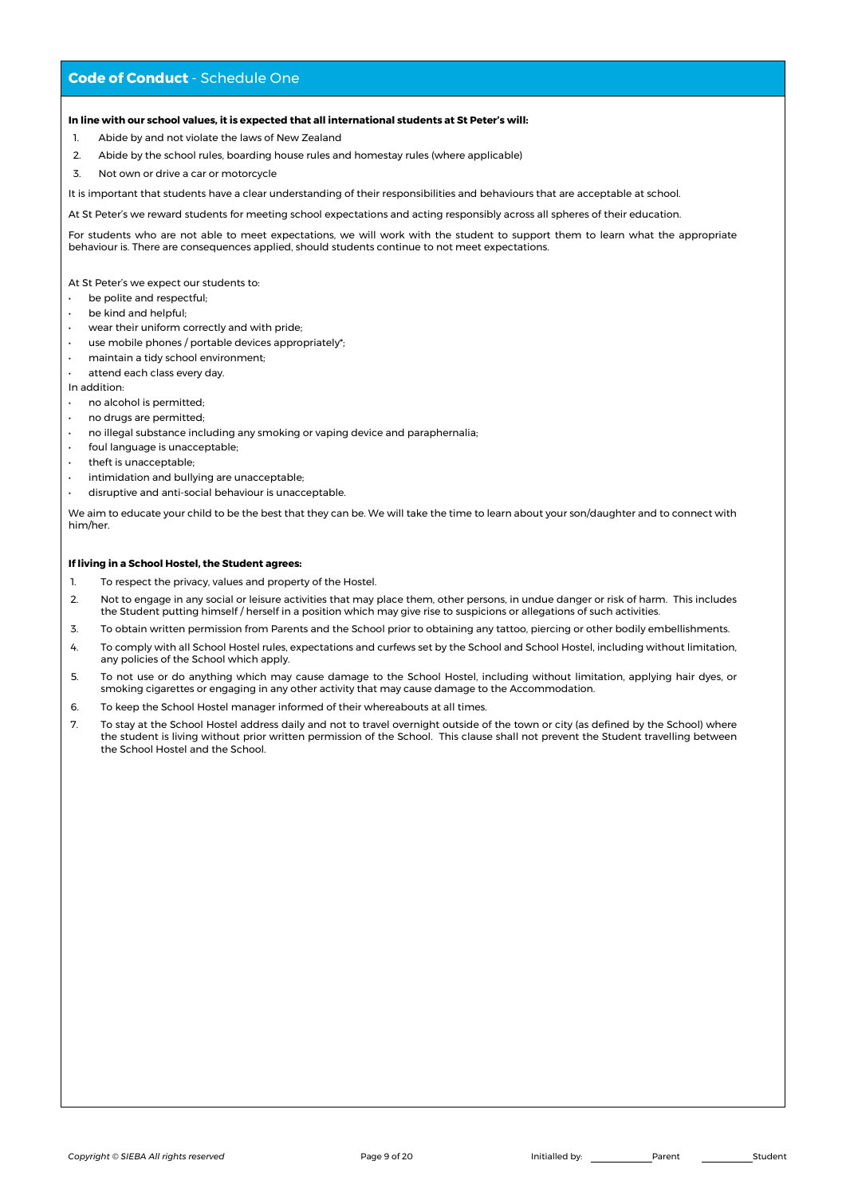# **Code of Conduct** - Schedule One

## **In line with our school values, it is expected that all international students at St Peter's will:**

- 1. Abide by and not violate the laws of New Zealand
- 2. Abide by the school rules, boarding house rules and homestay rules (where applicable)
- 3. Not own or drive a car or motorcycle

It is important that students have a clear understanding of their responsibilities and behaviours that are acceptable at school.

At St Peter's we reward students for meeting school expectations and acting responsibly across all spheres of their education.

For students who are not able to meet expectations, we will work with the student to support them to learn what the appropriate behaviour is. There are consequences applied, should students continue to not meet expectations.

At St Peter's we expect our students to:

- be polite and respectful;
- be kind and helpful;
- wear their uniform correctly and with pride;
- use mobile phones / portable devices appropriately\*;
- maintain a tidy school environment;
- attend each class every day.

In addition:

- no alcohol is permitted;
- no drugs are permitted;
- no illegal substance including any smoking or vaping device and paraphernalia;
- foul language is unacceptable;
- theft is unacceptable;
- intimidation and bullying are unacceptable;
- disruptive and anti-social behaviour is unacceptable.

We aim to educate your child to be the best that they can be. We will take the time to learn about your son/daughter and to connect with him/her.

## **If living in a School Hostel, the Student agrees:**

- 1. To respect the privacy, values and property of the Hostel.
- 2. Not to engage in any social or leisure activities that may place them, other persons, in undue danger or risk of harm. This includes the Student putting himself / herself in a position which may give rise to suspicions or allegations of such activities.
- 3. To obtain written permission from Parents and the School prior to obtaining any tattoo, piercing or other bodily embellishments.
- 4. To comply with all School Hostel rules, expectations and curfews set by the School and School Hostel, including without limitation, any policies of the School which apply.
- 5. To not use or do anything which may cause damage to the School Hostel, including without limitation, applying hair dyes, or smoking cigarettes or engaging in any other activity that may cause damage to the Accommodation.
- 6. To keep the School Hostel manager informed of their whereabouts at all times.
- 7. To stay at the School Hostel address daily and not to travel overnight outside of the town or city (as defined by the School) where the student is living without prior written permission of the School. This clause shall not prevent the Student travelling between the School Hostel and the School.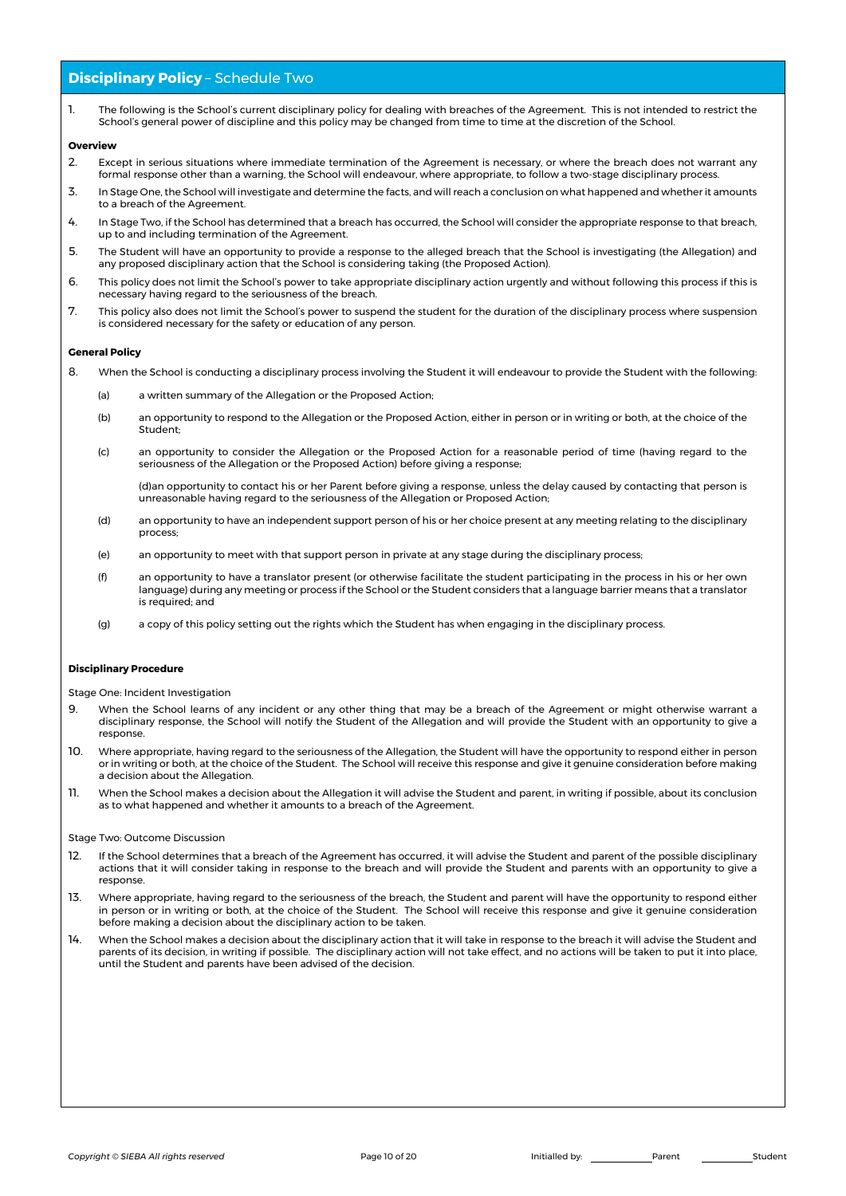# **Disciplinary Policy - Schedule Two**

1. The following is the School's current disciplinary policy for dealing with breaches of the Agreement. This is not intended to restrict the School's general power of discipline and this policy may be changed from time to time at the discretion of the School.

#### **Overview**

- 2. Except in serious situations where immediate termination of the Agreement is necessary, or where the breach does not warrant any formal response other than a warning, the School will endeavour, where appropriate, to follow a two-stage disciplinary process.
- 3. In Stage One, the School will investigate and determine the facts, and will reach a conclusion on what happened and whether it amounts to a breach of the Agreement.
- 4. In Stage Two, if the School has determined that a breach has occurred, the School will consider the appropriate response to that breach, up to and including termination of the Agreement.
- 5. The Student will have an opportunity to provide a response to the alleged breach that the School is investigating (the Allegation) and any proposed disciplinary action that the School is considering taking (the Proposed Action).
- 6. This policy does not limit the School's power to take appropriate disciplinary action urgently and without following this process if this is necessary having regard to the seriousness of the breach.
- 7. This policy also does not limit the School's power to suspend the student for the duration of the disciplinary process where suspension is considered necessary for the safety or education of any person.

#### **General Policy**

- 8. When the School is conducting a disciplinary process involving the Student it will endeavour to provide the Student with the following:
	- (a) a written summary of the Allegation or the Proposed Action;
	- (b) an opportunity to respond to the Allegation or the Proposed Action, either in person or in writing or both, at the choice of the Student;
	- (c) an opportunity to consider the Allegation or the Proposed Action for a reasonable period of time (having regard to the seriousness of the Allegation or the Proposed Action) before giving a response;

(d)an opportunity to contact his or her Parent before giving a response, unless the delay caused by contacting that person is unreasonable having regard to the seriousness of the Allegation or Proposed Action;

- (d) an opportunity to have an independent support person of his or her choice present at any meeting relating to the disciplinary process;
- (e) an opportunity to meet with that support person in private at any stage during the disciplinary process;
- (f) an opportunity to have a translator present (or otherwise facilitate the student participating in the process in his or her own language) during any meeting or process if the School or the Student considers that a language barrier means that a translator is required; and
- (g) a copy of this policy setting out the rights which the Student has when engaging in the disciplinary process.

### **Disciplinary Procedure**

Stage One: Incident Investigation

- 9. When the School learns of any incident or any other thing that may be a breach of the Agreement or might otherwise warrant a disciplinary response, the School will notify the Student of the Allegation and will provide the Student with an opportunity to give a response.
- 10. Where appropriate, having regard to the seriousness of the Allegation, the Student will have the opportunity to respond either in person or in writing or both, at the choice of the Student. The School will receive this response and give it genuine consideration before making a decision about the Allegation.
- 11. When the School makes a decision about the Allegation it will advise the Student and parent, in writing if possible, about its conclusion as to what happened and whether it amounts to a breach of the Agreement.

#### Stage Two: Outcome Discussion

- 12. If the School determines that a breach of the Agreement has occurred, it will advise the Student and parent of the possible disciplinary actions that it will consider taking in response to the breach and will provide the Student and parents with an opportunity to give a response.
- 13. Where appropriate, having regard to the seriousness of the breach, the Student and parent will have the opportunity to respond either in person or in writing or both, at the choice of the Student. The School will receive this response and give it genuine consideration before making a decision about the disciplinary action to be taken.
- 14. When the School makes a decision about the disciplinary action that it will take in response to the breach it will advise the Student and parents of its decision, in writing if possible. The disciplinary action will not take effect, and no actions will be taken to put it into place, until the Student and parents have been advised of the decision.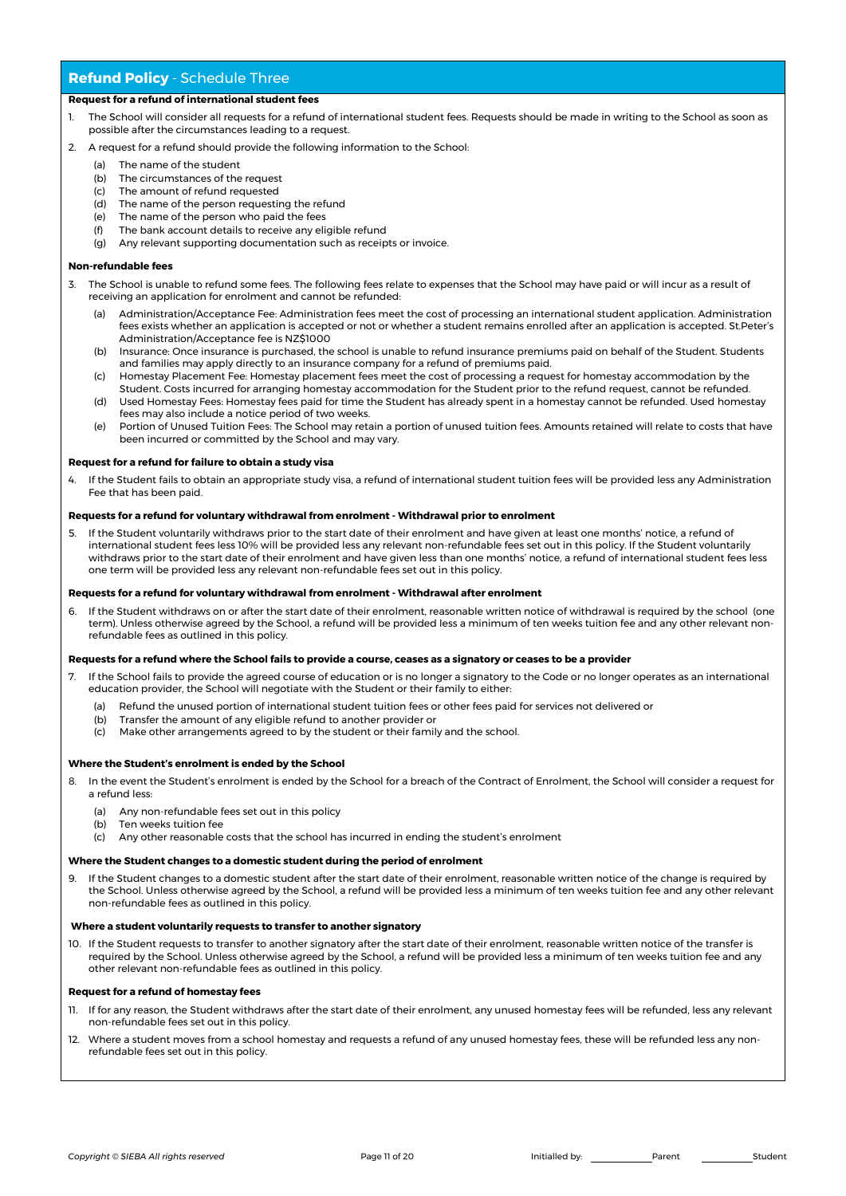# **Refund Policy** - Schedule Three

## **Request for a refund of international student fees**

- The School will consider all requests for a refund of international student fees. Requests should be made in writing to the School as soon as possible after the circumstances leading to a request.
- 2. A request for a refund should provide the following information to the School:
	- (a) The name of the student
	- (b) The circumstances of the request
	- (c) The amount of refund requested
	- (d) The name of the person requesting the refund
	- (e) The name of the person who paid the fees
	- (f) The bank account details to receive any eligible refund
	- (g) Any relevant supporting documentation such as receipts or invoice.

#### **Non-refundable fees**

- 3. The School is unable to refund some fees. The following fees relate to expenses that the School may have paid or will incur as a result of receiving an application for enrolment and cannot be refunded:
	- (a) Administration/Acceptance Fee: Administration fees meet the cost of processing an international student application. Administration fees exists whether an application is accepted or not or whether a student remains enrolled after an application is accepted. St.Peter's Administration/Acceptance fee is NZ\$1000
	- (b) Insurance: Once insurance is purchased, the school is unable to refund insurance premiums paid on behalf of the Student. Students and families may apply directly to an insurance company for a refund of premiums paid.
	- (c) Homestay Placement Fee: Homestay placement fees meet the cost of processing a request for homestay accommodation by the Student. Costs incurred for arranging homestay accommodation for the Student prior to the refund request, cannot be refunded.
	- (d) Used Homestay Fees: Homestay fees paid for time the Student has already spent in a homestay cannot be refunded. Used homestay fees may also include a notice period of two weeks.
	- (e) Portion of Unused Tuition Fees: The School may retain a portion of unused tuition fees. Amounts retained will relate to costs that have been incurred or committed by the School and may vary.

## **Request for a refund for failure to obtain a study visa**

4. If the Student fails to obtain an appropriate study visa, a refund of international student tuition fees will be provided less any Administration Fee that has been paid.

#### **Requests for a refund for voluntary withdrawal from enrolment - Withdrawal prior to enrolment**

5. If the Student voluntarily withdraws prior to the start date of their enrolment and have given at least one months' notice, a refund of international student fees less 10% will be provided less any relevant non-refundable fees set out in this policy. If the Student voluntarily withdraws prior to the start date of their enrolment and have given less than one months' notice, a refund of international student fees less one term will be provided less any relevant non-refundable fees set out in this policy.

#### **Requests for a refund for voluntary withdrawal from enrolment - Withdrawal after enrolment**

6. If the Student withdraws on or after the start date of their enrolment, reasonable written notice of withdrawal is required by the school (one term). Unless otherwise agreed by the School, a refund will be provided less a minimum of ten weeks tuition fee and any other relevant nonrefundable fees as outlined in this policy.

#### **Requests for a refund where the School fails to provide a course, ceases as a signatory or ceases to be a provider**

- If the School fails to provide the agreed course of education or is no longer a signatory to the Code or no longer operates as an international education provider, the School will negotiate with the Student or their family to either:
	- (a) Refund the unused portion of international student tuition fees or other fees paid for services not delivered or
	- (b) Transfer the amount of any eligible refund to another provider or
	- (c) Make other arrangements agreed to by the student or their family and the school.

## **Where the Student's enrolment is ended by the School**

- 8. In the event the Student's enrolment is ended by the School for a breach of the Contract of Enrolment, the School will consider a request for a refund less:
	- (a) Any non-refundable fees set out in this policy
	- (b) Ten weeks tuition fee
	- (c) Any other reasonable costs that the school has incurred in ending the student's enrolment

## **Where the Student changes to a domestic student during the period of enrolment**

9. If the Student changes to a domestic student after the start date of their enrolment, reasonable written notice of the change is required by the School. Unless otherwise agreed by the School, a refund will be provided less a minimum of ten weeks tuition fee and any other relevant non-refundable fees as outlined in this policy.

#### **Where a student voluntarily requests to transfer to another signatory**

10. If the Student requests to transfer to another signatory after the start date of their enrolment, reasonable written notice of the transfer is required by the School. Unless otherwise agreed by the School, a refund will be provided less a minimum of ten weeks tuition fee and any other relevant non-refundable fees as outlined in this policy.

#### **Request for a refund of homestay fees**

- 11. If for any reason, the Student withdraws after the start date of their enrolment, any unused homestay fees will be refunded, less any relevant non-refundable fees set out in this policy.
- 12. Where a student moves from a school homestay and requests a refund of any unused homestay fees, these will be refunded less any nonrefundable fees set out in this policy.